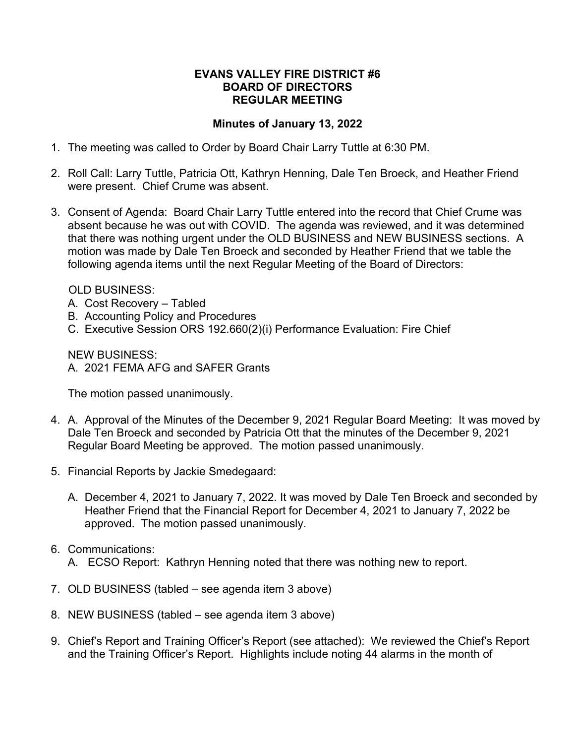## **EVANS VALLEY FIRE DISTRICT #6 BOARD OF DIRECTORS REGULAR MEETING**

## **Minutes of January 13, 2022**

- 1. The meeting was called to Order by Board Chair Larry Tuttle at 6:30 PM.
- 2. Roll Call: Larry Tuttle, Patricia Ott, Kathryn Henning, Dale Ten Broeck, and Heather Friend were present. Chief Crume was absent.
- 3. Consent of Agenda: Board Chair Larry Tuttle entered into the record that Chief Crume was absent because he was out with COVID. The agenda was reviewed, and it was determined that there was nothing urgent under the OLD BUSINESS and NEW BUSINESS sections. A motion was made by Dale Ten Broeck and seconded by Heather Friend that we table the following agenda items until the next Regular Meeting of the Board of Directors:

OLD BUSINESS:

- A. Cost Recovery Tabled
- B. Accounting Policy and Procedures
- C. Executive Session ORS 192.660(2)(i) Performance Evaluation: Fire Chief

NEW BUSINESS: A. 2021 FEMA AFG and SAFER Grants

The motion passed unanimously.

- 4. A. Approval of the Minutes of the December 9, 2021 Regular Board Meeting: It was moved by Dale Ten Broeck and seconded by Patricia Ott that the minutes of the December 9, 2021 Regular Board Meeting be approved. The motion passed unanimously.
- 5. Financial Reports by Jackie Smedegaard:
	- A. December 4, 2021 to January 7, 2022. It was moved by Dale Ten Broeck and seconded by Heather Friend that the Financial Report for December 4, 2021 to January 7, 2022 be approved. The motion passed unanimously.

## 6. Communications: A. ECSO Report: Kathryn Henning noted that there was nothing new to report.

- 7. OLD BUSINESS (tabled see agenda item 3 above)
- 8. NEW BUSINESS (tabled see agenda item 3 above)
- 9. Chief's Report and Training Officer's Report (see attached): We reviewed the Chief's Report and the Training Officer's Report. Highlights include noting 44 alarms in the month of